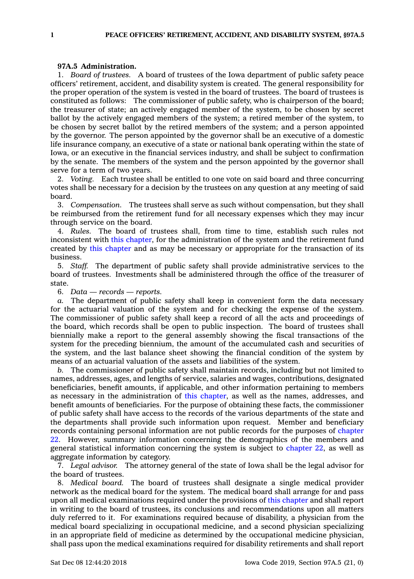## **97A.5 Administration.**

1. *Board of trustees.* A board of trustees of the Iowa department of public safety peace officers' retirement, accident, and disability system is created. The general responsibility for the proper operation of the system is vested in the board of trustees. The board of trustees is constituted as follows: The commissioner of public safety, who is chairperson of the board; the treasurer of state; an actively engaged member of the system, to be chosen by secret ballot by the actively engaged members of the system; <sup>a</sup> retired member of the system, to be chosen by secret ballot by the retired members of the system; and <sup>a</sup> person appointed by the governor. The person appointed by the governor shall be an executive of <sup>a</sup> domestic life insurance company, an executive of <sup>a</sup> state or national bank operating within the state of Iowa, or an executive in the financial services industry, and shall be subject to confirmation by the senate. The members of the system and the person appointed by the governor shall serve for <sup>a</sup> term of two years.

2. *Voting.* Each trustee shall be entitled to one vote on said board and three concurring votes shall be necessary for <sup>a</sup> decision by the trustees on any question at any meeting of said board.

3. *Compensation.* The trustees shall serve as such without compensation, but they shall be reimbursed from the retirement fund for all necessary expenses which they may incur through service on the board.

4. *Rules.* The board of trustees shall, from time to time, establish such rules not inconsistent with this [chapter](https://www.legis.iowa.gov/docs/code//97A.pdf), for the administration of the system and the retirement fund created by this [chapter](https://www.legis.iowa.gov/docs/code//97A.pdf) and as may be necessary or appropriate for the transaction of its business.

5. *Staff.* The department of public safety shall provide administrative services to the board of trustees. Investments shall be administered through the office of the treasurer of state.

6. *Data — records — reports.*

*a.* The department of public safety shall keep in convenient form the data necessary for the actuarial valuation of the system and for checking the expense of the system. The commissioner of public safety shall keep <sup>a</sup> record of all the acts and proceedings of the board, which records shall be open to public inspection. The board of trustees shall biennially make <sup>a</sup> report to the general assembly showing the fiscal transactions of the system for the preceding biennium, the amount of the accumulated cash and securities of the system, and the last balance sheet showing the financial condition of the system by means of an actuarial valuation of the assets and liabilities of the system.

*b.* The commissioner of public safety shall maintain records, including but not limited to names, addresses, ages, and lengths of service, salaries and wages, contributions, designated beneficiaries, benefit amounts, if applicable, and other information pertaining to members as necessary in the administration of this [chapter](https://www.legis.iowa.gov/docs/code//97A.pdf), as well as the names, addresses, and benefit amounts of beneficiaries. For the purpose of obtaining these facts, the commissioner of public safety shall have access to the records of the various departments of the state and the departments shall provide such information upon request. Member and beneficiary records containing personal information are not public records for the purposes of [chapter](https://www.legis.iowa.gov/docs/code//22.pdf) [22](https://www.legis.iowa.gov/docs/code//22.pdf). However, summary information concerning the demographics of the members and general statistical information concerning the system is subject to [chapter](https://www.legis.iowa.gov/docs/code//22.pdf) 22, as well as aggregate information by category.

7. *Legal advisor.* The attorney general of the state of Iowa shall be the legal advisor for the board of trustees.

8. *Medical board.* The board of trustees shall designate <sup>a</sup> single medical provider network as the medical board for the system. The medical board shall arrange for and pass upon all medical examinations required under the provisions of this [chapter](https://www.legis.iowa.gov/docs/code//97A.pdf) and shall report in writing to the board of trustees, its conclusions and recommendations upon all matters duly referred to it. For examinations required because of disability, <sup>a</sup> physician from the medical board specializing in occupational medicine, and <sup>a</sup> second physician specializing in an appropriate field of medicine as determined by the occupational medicine physician, shall pass upon the medical examinations required for disability retirements and shall report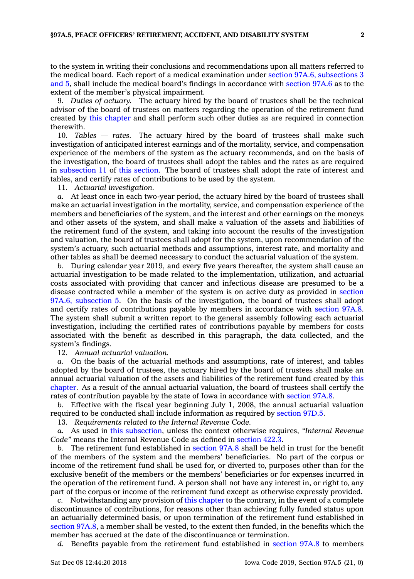to the system in writing their conclusions and recommendations upon all matters referred to the medical board. Each report of <sup>a</sup> medical examination under section 97A.6, [subsections](https://www.legis.iowa.gov/docs/code/97A.6.pdf) 3 [and](https://www.legis.iowa.gov/docs/code/97A.6.pdf) 5, shall include the medical board's findings in accordance with [section](https://www.legis.iowa.gov/docs/code/97A.6.pdf) 97A.6 as to the extent of the member's physical impairment.

9. *Duties of actuary.* The actuary hired by the board of trustees shall be the technical advisor of the board of trustees on matters regarding the operation of the retirement fund created by this [chapter](https://www.legis.iowa.gov/docs/code//97A.pdf) and shall perform such other duties as are required in connection therewith.

10. *Tables — rates.* The actuary hired by the board of trustees shall make such investigation of anticipated interest earnings and of the mortality, service, and compensation experience of the members of the system as the actuary recommends, and on the basis of the investigation, the board of trustees shall adopt the tables and the rates as are required in [subsection](https://www.legis.iowa.gov/docs/code/97A.5.pdf) 11 of this [section](https://www.legis.iowa.gov/docs/code/97A.5.pdf). The board of trustees shall adopt the rate of interest and tables, and certify rates of contributions to be used by the system.

11. *Actuarial investigation.*

*a.* At least once in each two-year period, the actuary hired by the board of trustees shall make an actuarial investigation in the mortality, service, and compensation experience of the members and beneficiaries of the system, and the interest and other earnings on the moneys and other assets of the system, and shall make <sup>a</sup> valuation of the assets and liabilities of the retirement fund of the system, and taking into account the results of the investigation and valuation, the board of trustees shall adopt for the system, upon recommendation of the system's actuary, such actuarial methods and assumptions, interest rate, and mortality and other tables as shall be deemed necessary to conduct the actuarial valuation of the system.

*b.* During calendar year 2019, and every five years thereafter, the system shall cause an actuarial investigation to be made related to the implementation, utilization, and actuarial costs associated with providing that cancer and infectious disease are presumed to be <sup>a</sup> disease contracted while <sup>a</sup> member of the system is on active duty as provided in [section](https://www.legis.iowa.gov/docs/code/97A.6.pdf) 97A.6, [subsection](https://www.legis.iowa.gov/docs/code/97A.6.pdf) 5. On the basis of the investigation, the board of trustees shall adopt and certify rates of contributions payable by members in accordance with [section](https://www.legis.iowa.gov/docs/code/97A.8.pdf) 97A.8. The system shall submit <sup>a</sup> written report to the general assembly following each actuarial investigation, including the certified rates of contributions payable by members for costs associated with the benefit as described in this paragraph, the data collected, and the system's findings.

12. *Annual actuarial valuation.*

*a.* On the basis of the actuarial methods and assumptions, rate of interest, and tables adopted by the board of trustees, the actuary hired by the board of trustees shall make an annual actuarial valuation of the assets and liabilities of the retirement fund created by [this](https://www.legis.iowa.gov/docs/code//97A.pdf) [chapter](https://www.legis.iowa.gov/docs/code//97A.pdf). As <sup>a</sup> result of the annual actuarial valuation, the board of trustees shall certify the rates of contribution payable by the state of Iowa in accordance with [section](https://www.legis.iowa.gov/docs/code/97A.8.pdf) 97A.8.

*b.* Effective with the fiscal year beginning July 1, 2008, the annual actuarial valuation required to be conducted shall include information as required by [section](https://www.legis.iowa.gov/docs/code/97D.5.pdf) 97D.5.

13. *Requirements related to the Internal Revenue Code.*

*a.* As used in this [subsection](https://www.legis.iowa.gov/docs/code/97A.5.pdf), unless the context otherwise requires, *"Internal Revenue Code"* means the Internal Revenue Code as defined in [section](https://www.legis.iowa.gov/docs/code/422.3.pdf) 422.3.

*b.* The retirement fund established in [section](https://www.legis.iowa.gov/docs/code/97A.8.pdf) 97A.8 shall be held in trust for the benefit of the members of the system and the members' beneficiaries. No part of the corpus or income of the retirement fund shall be used for, or diverted to, purposes other than for the exclusive benefit of the members or the members' beneficiaries or for expenses incurred in the operation of the retirement fund. A person shall not have any interest in, or right to, any part of the corpus or income of the retirement fund except as otherwise expressly provided.

*c.* Notwithstanding any provision of this [chapter](https://www.legis.iowa.gov/docs/code//97A.pdf) to the contrary, in the event of <sup>a</sup> complete discontinuance of contributions, for reasons other than achieving fully funded status upon an actuarially determined basis, or upon termination of the retirement fund established in [section](https://www.legis.iowa.gov/docs/code/97A.8.pdf) 97A.8, <sup>a</sup> member shall be vested, to the extent then funded, in the benefits which the member has accrued at the date of the discontinuance or termination.

*d.* Benefits payable from the retirement fund established in [section](https://www.legis.iowa.gov/docs/code/97A.8.pdf) 97A.8 to members